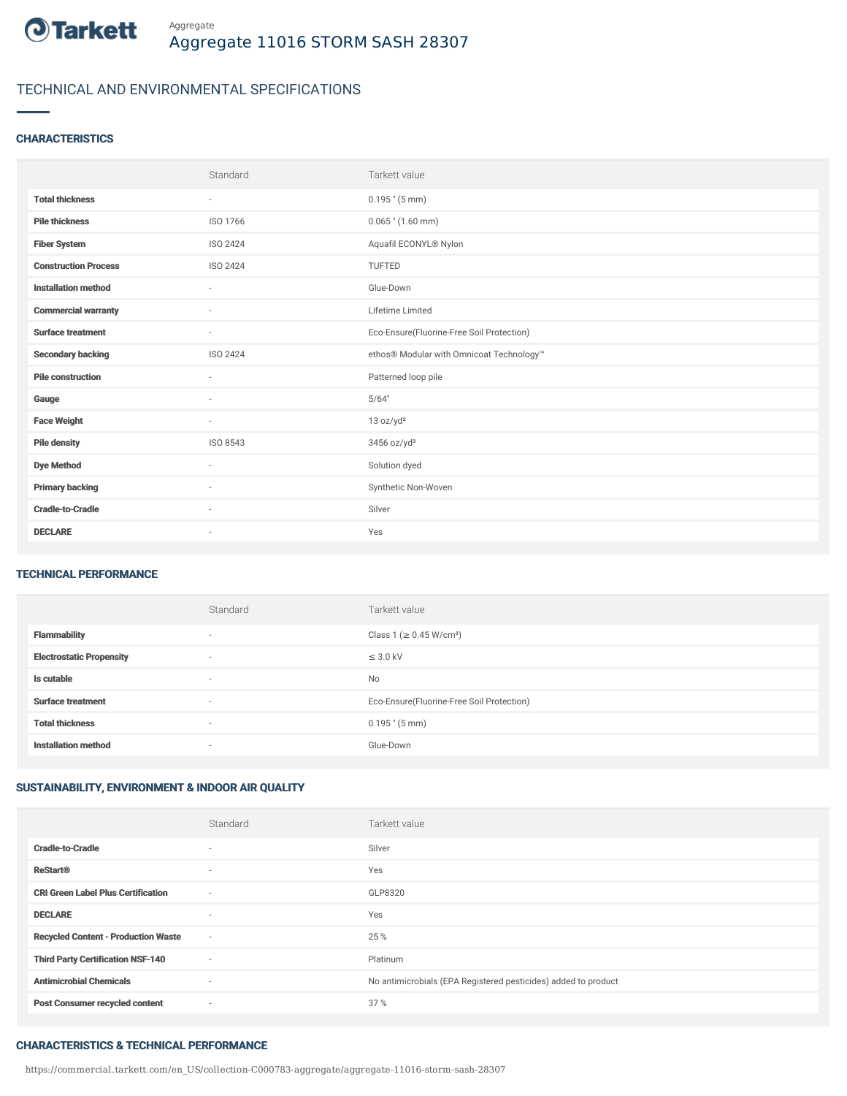

# TECHNICAL AND ENVIRONMENTAL SPECIFICATIONS

# **CHARACTERISTICS**

|                             | Standard                 | Tarkett value                             |
|-----------------------------|--------------------------|-------------------------------------------|
| <b>Total thickness</b>      | ٠                        | $0.195$ " $(5 \text{ mm})$                |
| <b>Pile thickness</b>       | ISO 1766                 | $0.065$ " $(1.60$ mm)                     |
| <b>Fiber System</b>         | ISO 2424                 | Aquafil ECONYL® Nylon                     |
| <b>Construction Process</b> | ISO 2424                 | TUFTED                                    |
| <b>Installation method</b>  | $\sim$                   | Glue-Down                                 |
| <b>Commercial warranty</b>  | ٠                        | Lifetime Limited                          |
| <b>Surface treatment</b>    | $\sim$                   | Eco-Ensure(Fluorine-Free Soil Protection) |
| <b>Secondary backing</b>    | ISO 2424                 | ethos® Modular with Omnicoat Technology™  |
| <b>Pile construction</b>    | $\overline{\phantom{a}}$ | Patterned loop pile                       |
| Gauge                       | ٠                        | 5/64"                                     |
| <b>Face Weight</b>          | $\sim$                   | 13 oz/yd <sup>2</sup>                     |
| <b>Pile density</b>         | ISO 8543                 | 3456 oz/yd <sup>3</sup>                   |
| <b>Dye Method</b>           | ٠                        | Solution dyed                             |
| <b>Primary backing</b>      | ٠                        | Synthetic Non-Woven                       |
| <b>Cradle-to-Cradle</b>     | $\overline{\phantom{a}}$ | Silver                                    |
| <b>DECLARE</b>              | $\overline{\phantom{a}}$ | Yes                                       |

## TECHNICAL PERFORMANCE

|                                 | Standard                 | Tarkett value                             |
|---------------------------------|--------------------------|-------------------------------------------|
| <b>Flammability</b>             | $\overline{\phantom{a}}$ | Class 1 (≥ 0.45 W/cm <sup>2</sup> )       |
| <b>Electrostatic Propensity</b> | $\overline{\phantom{a}}$ | $\leq$ 3.0 kV                             |
| Is cutable                      | ٠                        | <b>No</b>                                 |
| <b>Surface treatment</b>        | $\sim$                   | Eco-Ensure(Fluorine-Free Soil Protection) |
| <b>Total thickness</b>          | $\overline{\phantom{a}}$ | $0.195$ " (5 mm)                          |
| <b>Installation method</b>      | $\overline{\phantom{a}}$ | Glue-Down                                 |

# SUSTAINABILITY, ENVIRONMENT & INDOOR AIR QUALITY

|                                            | Standard                 | Tarkett value                                                  |
|--------------------------------------------|--------------------------|----------------------------------------------------------------|
| <b>Cradle-to-Cradle</b>                    | $\sim$                   | Silver                                                         |
| <b>ReStart®</b>                            | $\sim$                   | Yes                                                            |
| <b>CRI Green Label Plus Certification</b>  | $\sim$                   | GLP8320                                                        |
| <b>DECLARE</b>                             | $\sim$                   | Yes                                                            |
| <b>Recycled Content - Production Waste</b> | $\sim$                   | 25 %                                                           |
| <b>Third Party Certification NSF-140</b>   | $\sim$                   | Platinum                                                       |
| <b>Antimicrobial Chemicals</b>             | $\overline{\phantom{a}}$ | No antimicrobials (EPA Registered pesticides) added to product |
| <b>Post Consumer recycled content</b>      | $\overline{\phantom{a}}$ | 37%                                                            |

#### CHARACTERISTICS & TECHNICAL PERFORMANCE